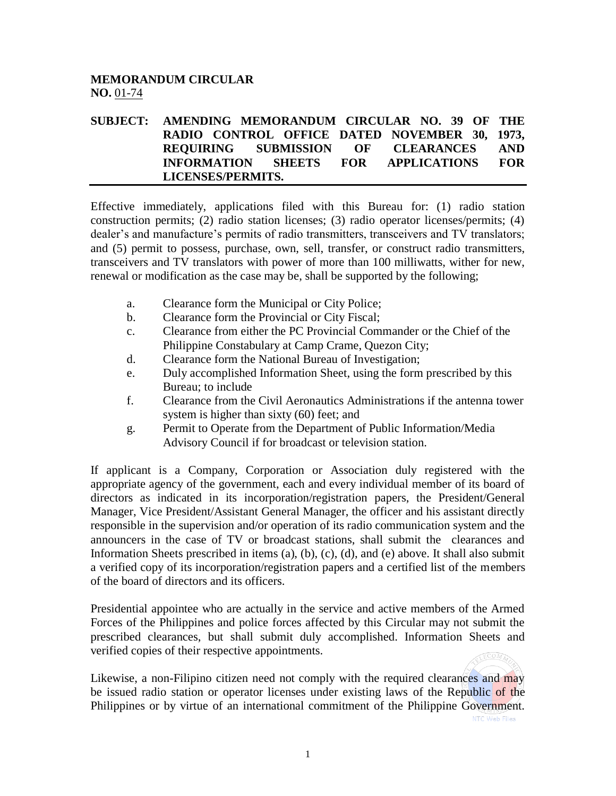## **MEMORANDUM CIRCULAR NO.** 01-74

## **SUBJECT: AMENDING MEMORANDUM CIRCULAR NO. 39 OF THE RADIO CONTROL OFFICE DATED NOVEMBER 30, 1973, REQUIRING SUBMISSION OF CLEARANCES AND INFORMATION SHEETS FOR APPLICATIONS FOR LICENSES/PERMITS.**

Effective immediately, applications filed with this Bureau for: (1) radio station construction permits; (2) radio station licenses; (3) radio operator licenses/permits; (4) dealer's and manufacture's permits of radio transmitters, transceivers and TV translators; and (5) permit to possess, purchase, own, sell, transfer, or construct radio transmitters, transceivers and TV translators with power of more than 100 milliwatts, wither for new, renewal or modification as the case may be, shall be supported by the following;

- a. Clearance form the Municipal or City Police;
- b. Clearance form the Provincial or City Fiscal;
- c. Clearance from either the PC Provincial Commander or the Chief of the Philippine Constabulary at Camp Crame, Quezon City;
- d. Clearance form the National Bureau of Investigation;
- e. Duly accomplished Information Sheet, using the form prescribed by this Bureau; to include
- f. Clearance from the Civil Aeronautics Administrations if the antenna tower system is higher than sixty (60) feet; and
- g. Permit to Operate from the Department of Public Information/Media Advisory Council if for broadcast or television station.

If applicant is a Company, Corporation or Association duly registered with the appropriate agency of the government, each and every individual member of its board of directors as indicated in its incorporation/registration papers, the President/General Manager, Vice President/Assistant General Manager, the officer and his assistant directly responsible in the supervision and/or operation of its radio communication system and the announcers in the case of TV or broadcast stations, shall submit the clearances and Information Sheets prescribed in items (a), (b), (c), (d), and (e) above. It shall also submit a verified copy of its incorporation/registration papers and a certified list of the members of the board of directors and its officers.

Presidential appointee who are actually in the service and active members of the Armed Forces of the Philippines and police forces affected by this Circular may not submit the prescribed clearances, but shall submit duly accomplished. Information Sheets and verified copies of their respective appointments.

Likewise, a non-Filipino citizen need not comply with the required clearances and may be issued radio station or operator licenses under existing laws of the Republic of the Philippines or by virtue of an international commitment of the Philippine Government.